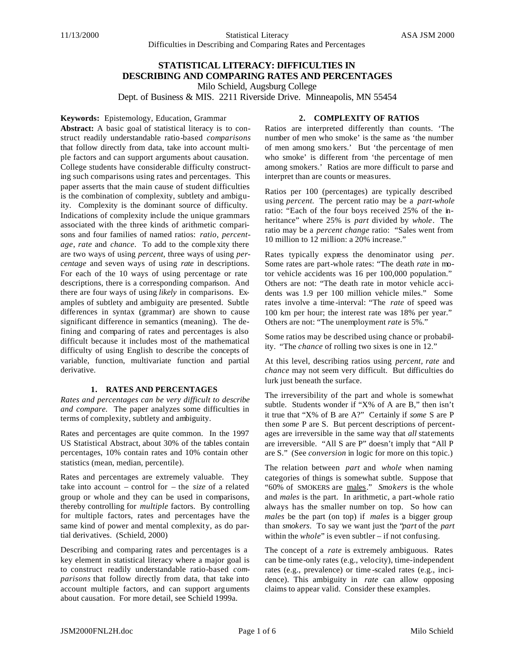# **STATISTICAL LITERACY: DIFFICULTIES IN DESCRIBING AND COMPARING RATES AND PERCENTAGES** Milo Schield, Augsburg College

Dept. of Business & MIS. 2211 Riverside Drive. Minneapolis, MN 55454

## **Keywords:** Epistemology, Education, Grammar

## **2. COMPLEXITY OF RATIOS**

**Abstract:** A basic goal of statistical literacy is to construct readily understandable ratio-based *comparisons* that follow directly from data, take into account multiple factors and can support arguments about causation. College students have considerable difficulty constructing such comparisons using rates and percentages. This paper asserts that the main cause of student difficulties is the combination of complexity, subtlety and ambiguity. Complexity is the dominant source of difficulty. Indications of complexity include the unique grammars associated with the three kinds of arithmetic comparisons and four families of named ratios: *ratio, percentage*, *rate* and *chance*. To add to the comple xity there are two ways of using *percent*, three ways of using *percentage* and seven ways of using *rate* in descriptions. For each of the 10 ways of using percentage or rate descriptions, there is a corresponding comparison. And there are four ways of using *likely* in comparisons. Examples of subtlety and ambiguity are presented. Subtle differences in syntax (grammar) are shown to cause significant difference in semantics (meaning). The defining and comparing of rates and percentages is also difficult because it includes most of the mathematical difficulty of using English to describe the concepts of variable, function, multivariate function and partial derivative.

## **1. RATES AND PERCENTAGES**

*Rates and percentages can be very difficult to describe and compare.* The paper analyzes some difficulties in terms of complexity, subtlety and ambiguity.

Rates and percentages are quite common. In the 1997 US Statistical Abstract, about 30% of the tables contain percentages, 10% contain rates and 10% contain other statistics (mean, median, percentile).

Rates and percentages are extremely valuable. They take into account – control for – the *size* of a related group or whole and they can be used in comparisons, thereby controlling for *multiple* factors. By controlling for multiple factors, rates and percentages have the same kind of power and mental complexity, as do partial derivatives. (Schield, 2000)

Describing and comparing rates and percentages is a key element in statistical literacy where a major goal is to construct readily understandable ratio-based *comparisons* that follow directly from data, that take into account multiple factors, and can support arguments about causation. For more detail, see Schield 1999a.

Ratios are interpreted differently than counts. 'The number of men who smoke' is the same as 'the number of men among smo kers.' But 'the percentage of men who smoke' is different from 'the percentage of men among smokers.' Ratios are more difficult to parse and interpret than are counts or measures.

Ratios per 100 (percentages) are typically described using *percent.* The percent ratio may be a *part-whole* ratio: "Each of the four boys received 25% of the inheritance" where 25% is *part* divided by *whole*. The ratio may be a *percent change* ratio: "Sales went from 10 million to 12 million: a 20% increase."

Rates typically express the denominator using *per*. Some rates are part-whole rates: "The death *rate* in motor vehicle accidents was 16 per 100,000 population." Others are not: "The death rate in motor vehicle accidents was 1.9 per 100 million vehicle miles." Some rates involve a time -interval: "The *rate* of speed was 100 km per hour; the interest rate was 18% per year." Others are not: "The unemployment *rate* is 5%."

Some ratios may be described using chance or probability. "The *chance* of rolling two sixes is one in 12."

At this level, describing ratios using *percent, rate* and *chance* may not seem very difficult. But difficulties do lurk just beneath the surface.

The irreversibility of the part and whole is somewhat subtle. Students wonder if "X% of A are B," then isn't it true that "X% of B are A?" Certainly if *some* S are P then *some* P are S. But percent descriptions of percentages are irreversible in the same way that *all* statements are irreversible. "All S are P" doesn't imply that "All P are S." (See *conversion* in logic for more on this topic.)

The relation between *part* and *whole* when naming categories of things is somewhat subtle. Suppose that "60% of SMOKERS are males." *Smokers* is the whole and *males* is the part. In arithmetic, a part-whole ratio always has the smaller number on top. So how can *males* be the part (on top) if *males* is a bigger group than *smokers*. To say we want just the "*part* of the *part* within the *whole*" is even subtler – if not confusing.

The concept of a *rate* is extremely ambiguous. Rates can be time-only rates (e.g., velocity), time-independent rates (e.g., prevalence) or time -scaled rates (e.g., incidence). This ambiguity in *rate* can allow opposing claims to appear valid. Consider these examples.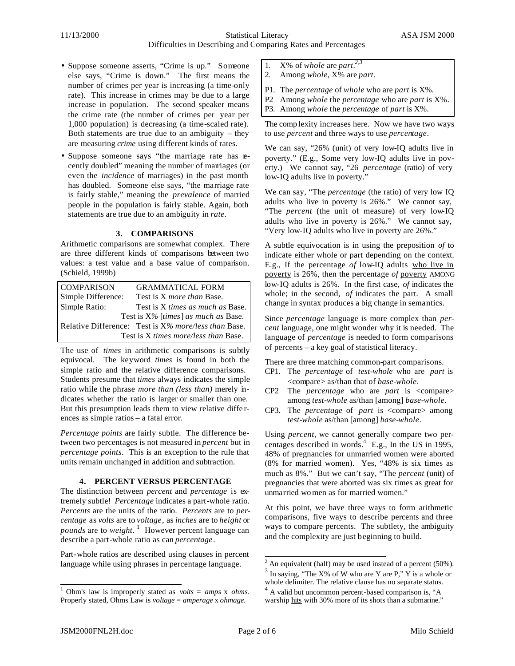- Suppose someone asserts, "Crime is up." Someone else says, "Crime is down." The first means the number of crimes per year is increasing (a time-only rate). This increase in crimes may be due to a large increase in population. The second speaker means the crime rate (the number of crimes per year per 1,000 population) is decreasing (a time-scaled rate). Both statements are true due to an ambiguity  $-$  they are measuring *crime* using different kinds of rates.
- Suppose someone says "the marriage rate has recently doubled" meaning the number of marriages (or even the *incidence* of marriages) in the past month has doubled. Someone else says, "the marriage rate is fairly stable," meaning the *prevalence* of married people in the population is fairly stable. Again, both statements are true due to an ambiguity in *rate*.

## **3. COMPARISONS**

Arithmetic comparisons are somewhat complex. There are three different kinds of comparisons between two values: a test value and a base value of comparison. (Schield, 1999b)

| <b>COMPARISON</b>                      | <b>GRAMMATICAL FORM</b>                              |  |  |  |
|----------------------------------------|------------------------------------------------------|--|--|--|
| Simple Difference:                     | Test is X <i>more than</i> Base.                     |  |  |  |
| Simple Ratio:                          | Test is X times as much as Base.                     |  |  |  |
| Test is $X\%$ [times] as much as Base. |                                                      |  |  |  |
|                                        | Relative Difference: Test is X% more/less than Base. |  |  |  |
|                                        | Test is X times more/less than Base.                 |  |  |  |

The use of *times* in arithmetic comparisons is subtly equivocal. The keyword *times* is found in both the simple ratio and the relative difference comparisons. Students presume that *times* always indicates the simple ratio while the phrase *more than (less than)* merely indicates whether the ratio is larger or smaller than one. But this presumption leads them to view relative diffe rences as simple ratios – a fatal error.

*Percentage points* are fairly subtle. The difference between two percentages is not measured in *percent* but in *percentage points*. This is an exception to the rule that units remain unchanged in addition and subtraction.

## **4. PERCENT VERSUS PERCENTAGE**

The distinction between *percent* and *percentage* is extremely subtle! *Percentage* indicates a part-whole ratio. *Percents* are the units of the ratio. *Percents* are to *percentage* as *volts* are to *voltage*, as *inches* are to *height* or *pounds* are to *weight*. 1 However percent language can describe a part-whole ratio as can *percentage*.

Part-whole ratios are described using clauses in percent language while using phrases in percentage language.

- 1. X% of *whole* are *part*.<sup>2,3</sup>
- 2. Among *whole,* X% are *part.*
- P1. The *percentage* of *whole* who are *part* is X%.
- P2 Among *whole* the *percentage* who are *part* is X%.
- P3. Among *whole* the *percentage* of *part* is X%.

The comp lexity increases here. Now we have two ways to use *percent* and three ways to use *percentage*.

We can say, "26% (unit) of very low-IQ adults live in poverty." (E.g., Some very low-IQ adults live in poverty.) We cannot say, "26 *percentage* (ratio) of very low-IQ adults live in poverty."

We can say, "The *percentage* (the ratio) of very low IQ adults who live in poverty is 26%." We cannot say, "The *percent* (the unit of measure) of very low-IQ adults who live in poverty is 26%." We cannot say, "Very low-IQ adults who live in poverty are 26%."

A subtle equivocation is in using the preposition *of* to indicate either whole or part depending on the context. E.g., If the percentage *of* low-IQ adults who live in poverty is 26%, then the percentage *of* poverty AMONG low-IQ adults is 26%. In the first case, *of* indicates the whole; in the second, *of* indicates the part. A small change in syntax produces a big change in semantics.

Since *percentage* language is more complex than *percent* language, one might wonder why it is needed. The language of *percentage* is needed to form comparisons of percents – a key goal of statistical literacy.

There are three matching common-part comparisons*.* 

- CP1. The *percentage* of *test-whole* who are *part* is <compare> as/than that of *base-whole*.
- CP2 The *percentage* who are *part* is <compare> among *test-whole* as/than [among] *base-whole*.
- CP3. The *percentage* of *part* is <compare> among *test-whole* as/than [among] *base-whole*.

Using *percent,* we cannot generally compare two percentages described in words. 4 E.g., In the US in 1995, 48% of pregnancies for unmarried women were aborted (8% for married women). Yes, "48% is six times as much as 8%." But we can't say, "The *percent* (unit) of pregnancies that were aborted was six times as great for unmarried women as for married women."

At this point, we have three ways to form arithmetic comparisons, five ways to describe percents and three ways to compare percents. The subtlety, the ambiguity and the complexity are just beginning to build.

 1 Ohm's law is improperly stated as *volts* = *amps* x *ohms*. Properly stated, Ohms Law is *voltage* = *amperage* x *ohmage.* 

 $\frac{1}{2}$  An equivalent (half) may be used instead of a percent (50%).

 $3$  In saying, "The X% of W who are Y are P," Y is a whole or whole delimiter. The relative clause has no separate status.

<sup>&</sup>lt;sup>4</sup> A valid but uncommon percent-based comparison is, "A warship hits with 30% more of its shots than a submarine."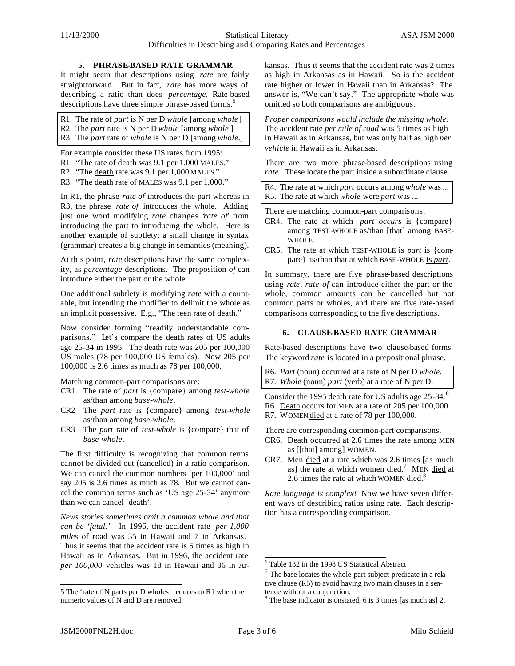#### **5. PHRASE-BASED RATE GRAMMAR**

It might seem that descriptions using *rate* are fairly straightforward. But in fact, *rate* has more ways of describing a ratio than does *percentage.* Rate*-*based descriptions have three simple phrase-based forms.<sup>5</sup>

R1. The rate of *part* is N per D *whole* [among *whole*]. R2. The *part* rate is N per D *whole* [among *whole*.] R3. The *part* rate of *whole* is N per D [among *whole*.]

For example consider these US rates from 1995:

- R1. "The rate of death was 9.1 per 1,000 MALES."
- R2. "The death rate was 9.1 per 1,000 MALES."

R3. "The death rate of MALES was 9.1 per 1,000."

In R1, the phrase *rate of* introduces the part whereas in R3, the phrase *rate of* introduces the whole. Adding just one word modifying *rate* changes '*rate of*' from introducing the part to introducing the whole. Here is another example of subtlety: a small change in syntax (grammar) creates a big change in semantics (meaning).

At this point, *rate* descriptions have the same comple xity, as *percentage* descriptions. The preposition *of* can introduce either the part or the whole.

One additional subtlety is modifying *rate* with a countable, but intending the modifier to delimit the whole as an implicit possessive. E.g., "The teen rate of death."

Now consider forming "readily understandable comparisons." Let's compare the death rates of US adults age 25-34 in 1995. The death rate was 205 per 100,000 US males (78 per 100,000 US females). Now 205 per 100,000 is 2.6 times as much as 78 per 100,000.

Matching common-part comparisons are:

- CR1 The rate of *part* is {compare} among *test-whole* as/than among *base-whole*.
- CR2 The *part* rate is {compare} among *test-whole* as/than among *base-whole*.
- CR3 The *part* rate of *test-whole* is {compare} that of *base-whole*.

The first difficulty is recognizing that common terms cannot be divided out (cancelled) in a ratio comparison. We can cancel the common numbers 'per 100,000' and say 205 is 2.6 times as much as 78. But we cannot cancel the common terms such as 'US age 25-34' anymore than we can cancel 'death'.

*News stories sometimes omit a common whole and that can be 'fatal.'* In 1996, the accident rate *per 1,000 miles* of road was 35 in Hawaii and 7 in Arkansas. Thus it seems that the accident rate is 5 times as high in Hawaii as in Arkansas. But in 1996, the accident rate *per 100,000* vehicles was 18 in Hawaii and 36 in Arkansas. Thus it seems that the accident rate was 2 times as high in Arkansas as in Hawaii. So is the accident rate higher or lower in Hawaii than in Arkansas? The answer is, "We can't say." The appropriate whole was omitted so both comparisons are ambiguous.

*Proper comparisons would include the missing whole.*  The accident rate *per mile of road* was 5 times as high in Hawaii as in Arkansas, but was only half as high *per vehicle* in Hawaii as in Arkansas.

There are two more phrase-based descriptions using *rate*. These locate the part inside a subordinate clause.

R4. The rate at which *part* occurs among *whole* was ... R5. The rate at which *whole* were *part* was ...

There are matching common-part comparisons.

- CR4. The rate at which *part occurs* is {compare} among TEST-WHOLE as/than [that] among BASE-WHOLE.
- CR5. The rate at which TEST-WHOLE is *part* is {compare} as/than that at which BASE-WHOLE is *part*.

In summary, there are five phrase-based descriptions using *rate*, *rate of* can introduce either the part or the whole, common amounts can be cancelled but not common parts or wholes, and there are five rate-based comparisons corresponding to the five descriptions.

#### **6. CLAUSE-BASED RATE GRAMMAR**

Rate-based descriptions have two clause-based forms. The keyword *rate* is located in a prepositional phrase.

R6. *Part* (noun) occurred at a rate of N per D *whole.* R7. *Whole* (noun) *part* (verb) at a rate of N per D.

Consider the 1995 death rate for US adults age 25-34.<sup>6</sup>

- R6. Death occurs for MEN at a rate of 205 per 100,000.
- R7. WOMEN died at a rate of 78 per 100,000.

There are corresponding common-part comparisons.

- CR6. Death occurred at 2.6 times the rate among MEN as [[that] among] WOMEN.
- CR7. Men died at a rate which was 2.6 times [as much as] the rate at which women died.<sup>7</sup> MEN died at 2.6 times the rate at which WOMEN died. $8$

*Rate language is complex!* Now we have seven different ways of describing ratios using rate. Each description has a corresponding comparison.

l

l

<sup>5</sup> The 'rate of N parts per D wholes' reduces to R1 when the numeric values of N and D are removed.

<sup>6</sup> Table 132 in the 1998 US Statistical Abstract

 $7$  The base locates the whole-part subject-predicate in a relative clause (R5) to avoid having two main clauses in a sentence without a conjunction.

<sup>&</sup>lt;sup>8</sup> The base indicator is unstated, 6 is 3 times [as much as] 2.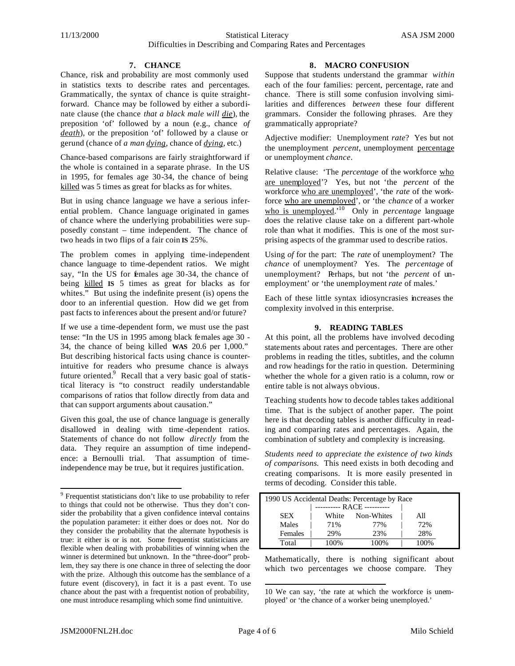#### **7. CHANCE**

Chance, risk and probability are most commonly used in statistics texts to describe rates and percentages. Grammatically, the syntax of chance is quite straightforward. Chance may be followed by either a subordinate clause (the chance *that a black male will die*), the preposition 'of' followed by a noun (e.g., chance *of death*), or the preposition 'of' followed by a clause or gerund (chance of *a man dying*, chance of *dying*, etc.)

Chance-based comparisons are fairly straightforward if the whole is contained in a separate phrase. In the US in 1995, for females age 30-34, the chance of being killed was 5 times as great for blacks as for whites.

But in using chance language we have a serious inferential problem. Chance language originated in games of chance where the underlying probabilities were supposedly constant – time independent. The chance of two heads in two flips of a fair coin **IS** 25%.

The problem comes in applying time-independent chance language to time-dependent ratios. We might say, "In the US for females age 30-34, the chance of being killed **IS** 5 times as great for blacks as for whites." But using the indefinite present (is) opens the door to an inferential question. How did we get from past facts to inferences about the present and/or future?

If we use a time-dependent form, we must use the past tense: "In the US in 1995 among black females age 30 - 34, the chance of being killed **WAS** 20.6 per 1,000." But describing historical facts using chance is counterintuitive for readers who presume chance is always future oriented.<sup>9</sup> Recall that a very basic goal of statistical literacy is "to construct readily understandable comparisons of ratios that follow directly from data and that can support arguments about causation."

Given this goal, the use of chance language is generally disallowed in dealing with time -dependent ratios. Statements of chance do not follow *directly* from the data. They require an assumption of time independence: a Bernoulli trial. That assumption of timeindependence may be true, but it requires justification.

#### **8. MACRO CONFUSION**

Suppose that students understand the grammar *within* each of the four families: percent, percentage, rate and chance. There is still some confusion involving similarities and differences *between* these four different grammars. Consider the following phrases. Are they grammatically appropriate?

Adjective modifier: Unemployment *rate*? Yes but not the unemployment *percent*, unemployment percentage or unemployment *chance*.

Relative clause: 'The *percentage* of the workforce who are unemployed'? Yes, but not 'the *percent* of the workforce who are unemployed', 'the *rate* of the workforce who are unemployed', or 'the *chance* of a worker who is unemployed.<sup>10</sup> Only in *percentage* language does the relative clause take on a different part-whole role than what it modifies. This is one of the most surprising aspects of the grammar used to describe ratios.

Using *of* for the part: The *rate* of unemployment? The *chance* of unemployment? Yes. The *percentage* of unemployment? Perhaps, but not 'the *percent* of unemployment' or 'the unemployment *rate* of males.'

Each of these little syntax idiosyncrasies increases the complexity involved in this enterprise.

#### **9. READING TABLES**

At this point, all the problems have involved decoding statements about rates and percentages. There are other problems in reading the titles, subtitles, and the column and row headings for the ratio in question. Determining whether the whole for a given ratio is a column, row or entire table is not always obvious.

Teaching students how to decode tables takes additional time. That is the subject of another paper. The point here is that decoding tables is another difficulty in reading and comparing rates and percentages. Again, the combination of subtlety and complexity is increasing.

*Students need to appreciate the existence of two kinds of comparisons.* This need exists in both decoding and creating comparisons. It is more easily presented in terms of decoding. Consider this table.

| 1990 US Accidental Deaths: Percentage by Race |                            |  |       |            |  |         |  |  |
|-----------------------------------------------|----------------------------|--|-------|------------|--|---------|--|--|
|                                               | ---------- RACE ---------- |  |       |            |  |         |  |  |
|                                               | <b>SEX</b>                 |  | White | Non-Whites |  | All     |  |  |
|                                               | Males                      |  | 71%   | 77%        |  | 72%     |  |  |
|                                               | Females                    |  | 29%   | 23%        |  | 28%     |  |  |
|                                               | Total                      |  | 100%  | 100%       |  | $100\%$ |  |  |

Mathematically, there is nothing significant about which two percentages we choose compare. They

l

l

<sup>9</sup> Frequentist statisticians don't like to use probability to refer to things that could not be otherwise. Thus they don't consider the probability that a given confidence interval contains the population parameter: it either does or does not. Nor do they consider the probability that the alternate hypothesis is true: it either is or is not. Some frequentist statisticians are flexible when dealing with probabilities of winning when the winner is determined but unknown. In the "three-door" problem, they say there is one chance in three of selecting the door with the prize. Although this outcome has the semblance of a future event (discovery), in fact it is a past event. To use chance about the past with a frequentist notion of probability, one must introduce resampling which some find unintuitive.

<sup>10</sup> We can say, 'the rate at which the workforce is unemployed' or 'the chance of a worker being unemployed.'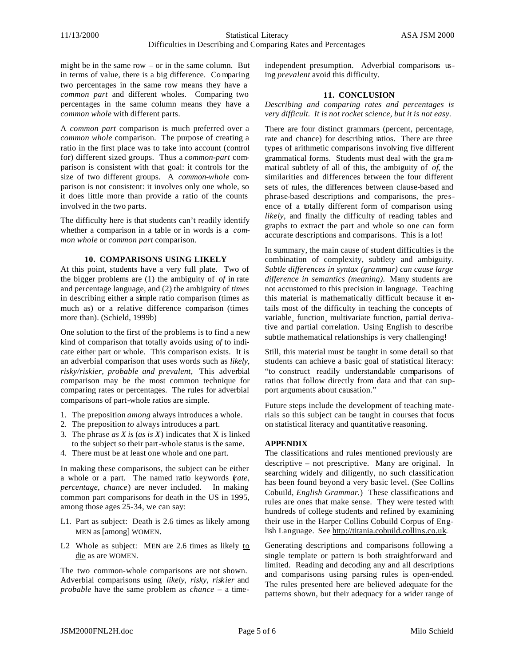might be in the same row – or in the same column. But in terms of value, there is a big difference. Co mparing two percentages in the same row means they have a *common part* and different wholes. Comparing two percentages in the same column means they have a *common whole* with different parts.

A *common part* comparison is much preferred over a *common whole* comparison. The purpose of creating a ratio in the first place was to take into account (control for) different sized groups. Thus a *common-part* comparison is consistent with that goal: it controls for the size of two different groups. A *common-whole* comparison is not consistent: it involves only one whole, so it does little more than provide a ratio of the counts involved in the two parts.

The difficulty here is that students can't readily identify whether a comparison in a table or in words is a *common whole* or *common part* comparison.

#### **10. COMPARISONS USING LIKELY**

At this point, students have a very full plate. Two of the bigger problems are (1) the ambiguity of *of* in rate and percentage language, and (2) the ambiguity of *times* in describing either a simple ratio comparison (times as much as) or a relative difference comparison (times more than). (Schield, 1999b)

One solution to the first of the problems is to find a new kind of comparison that totally avoids using *of* to indicate either part or whole. This comparison exists. It is an adverbial comparison that uses words such as *likely, risky/riskier, probable and prevalent,* This adverbial comparison may be the most common technique for comparing rates or percentages. The rules for adverbial comparisons of part-whole ratios are simple.

- 1. The preposition *among* always introduces a whole.
- 2. The preposition *to* always introduces a part.
- 3. The phrase *as X is* (*as is X*) indicates that X is linked to the subject so their part-whole status is the same.
- 4. There must be at least one whole and one part.

In making these comparisons, the subject can be either a whole or a part. The named ratio keywords (*rate, percentage, chance*) are never included. In making common part comparisons for death in the US in 1995, among those ages 25-34, we can say:

- L1. Part as subject: Death is 2.6 times as likely among MEN as [among] WOMEN.
- L2 Whole as subject: MEN are 2.6 times as likely to die as are WOMEN.

The two common-whole comparisons are not shown. Adverbial comparisons using *likely, risky, riskier* and *probable* have the same problem as *chance* – a timeindependent presumption. Adverbial comparisons using *prevalent* avoid this difficulty.

## **11. CONCLUSION**

*Describing and comparing rates and percentages is very difficult. It is not rocket science, but it is not easy.*

There are four distinct grammars (percent, percentage, rate and chance) for describing ratios. There are three types of arithmetic comparisons involving five different grammatical forms. Students must deal with the gra mmatical subtlety of all of this, the ambiguity of *of*, the similarities and differences between the four different sets of rules, the differences between clause-based and phrase-based descriptions and comparisons, the presence of a totally different form of comparison using *likely*, and finally the difficulty of reading tables and graphs to extract the part and whole so one can form accurate descriptions and comparisons. This is a lot!

In summary, the main cause of student difficulties is the combination of complexity, subtlety and ambiguity. *Subtle differences in syntax (grammar) can cause large difference in semantics (meaning).* Many students are not accustomed to this precision in language. Teaching this material is mathematically difficult because it entails most of the difficulty in teaching the concepts of variable function, multivariate function, partial derivative and partial correlation*.* Using English to describe subtle mathematical relationships is very challenging!

Still, this material must be taught in some detail so that students can achieve a basic goal of statistical literacy: "to construct readily understandable comparisons of ratios that follow directly from data and that can support arguments about causation."

Future steps include the development of teaching materials so this subject can be taught in courses that focus on statistical literacy and quantitative reasoning.

## **APPENDIX**

The classifications and rules mentioned previously are descriptive – not prescriptive. Many are original. In searching widely and diligently, no such classification has been found beyond a very basic level. (See Collins Cobuild, *English Grammar.*) These classifications and rules are ones that make sense. They were tested with hundreds of college students and refined by examining their use in the Harper Collins Cobuild Corpus of English Language. See http://titania.cobuild.collins.co.uk.

Generating descriptions and comparisons following a single template or pattern is both straightforward and limited. Reading and decoding any and all descriptions and comparisons using parsing rules is open-ended. The rules presented here are believed adequate for the patterns shown, but their adequacy for a wider range of